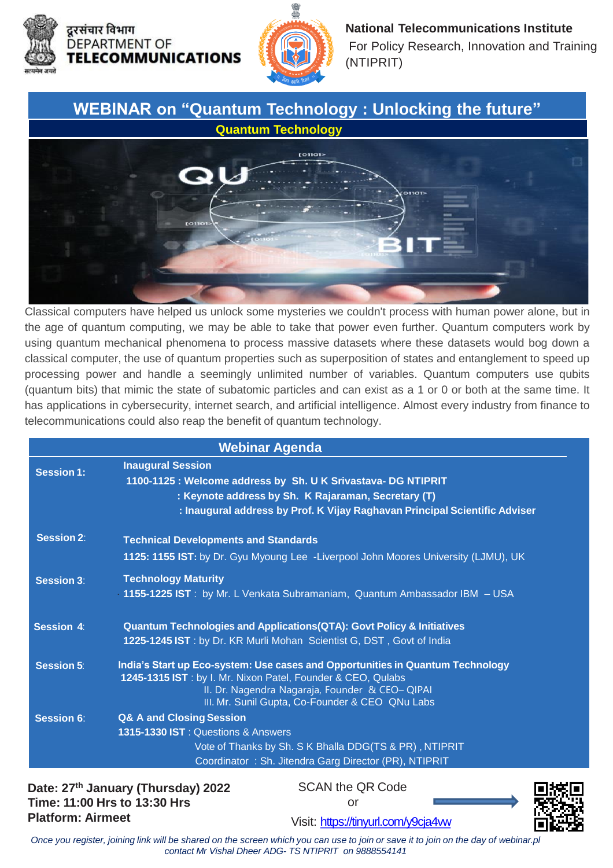



**National Telecommunications Institute**  For Policy Research, Innovation and Training (NTIPRIT)

## **WEBINAR on "Quantum Technology : Unlocking the future"**



the age of quantum computing, we may be able to take that power even further. Quantum computers work by **Session 6**: (quantum bits) that mimic the state of subatomic particles and can exist as a 1 or 0 or both at the same time. It Classical computers have helped us unlock some mysteries we couldn't process with human power alone, but in using quantum mechanical phenomena to process massive datasets where these datasets would bog down a classical computer, the use of quantum properties such as superposition of states and entanglement to speed up processing power and handle a seemingly unlimited number of variables. Quantum computers use qubits has applications in cybersecurity, internet search, and artificial intelligence. Almost every industry from finance to telecommunications could also reap the benefit of quantum technology.

| <b>Webinar Agenda</b> |                                                                                                                                                                                                                                                    |
|-----------------------|----------------------------------------------------------------------------------------------------------------------------------------------------------------------------------------------------------------------------------------------------|
| <b>Session 1:</b>     | <b>Inaugural Session</b><br>1100-1125 : Welcome address by Sh. U K Srivastava- DG NTIPRIT<br>: Keynote address by Sh. K Rajaraman, Secretary (T)<br>: Inaugural address by Prof. K Vijay Raghavan Principal Scientific Adviser                     |
| <b>Session 2:</b>     | <b>Technical Developments and Standards</b><br>1125: 1155 IST: by Dr. Gyu Myoung Lee -Liverpool John Moores University (LJMU), UK                                                                                                                  |
| <b>Session 3:</b>     | <b>Technology Maturity</b><br>1155-1225 IST: by Mr. L Venkata Subramaniam, Quantum Ambassador IBM - USA                                                                                                                                            |
| Session 4:            | <b>Quantum Technologies and Applications (QTA): Govt Policy &amp; Initiatives</b><br>1225-1245 IST: by Dr. KR Murli Mohan Scientist G, DST, Govt of India                                                                                          |
| <b>Session 5:</b>     | India's Start up Eco-system: Use cases and Opportunities in Quantum Technology<br>1245-1315 IST: by I. Mr. Nixon Patel, Founder & CEO, Qulabs<br>II. Dr. Nagendra Nagaraja, Founder & CEO-QIPAI<br>III. Mr. Sunil Gupta, Co-Founder & CEO QNu Labs |
| <b>Session 6:</b>     | <b>Q&amp; A and Closing Session</b><br><b>1315-1330 IST: Questions &amp; Answers</b><br>Vote of Thanks by Sh. S K Bhalla DDG(TS & PR), NTIPRIT<br>Coordinator: Sh. Jitendra Garg Director (PR), NTIPRIT                                            |

**Date: 27th January (Thursday) 2022 Time: 11:00 Hrs to 13:30 Hrs Platform: Airmeet**

SCAN the QR Code or



Visit: <https://tinyurl.com/y9cja4vw>

*Once you register, joining link will be shared on the screen which you can use to join or save it to join on the day of webinar.pl contact Mr Vishal Dheer ADG- TS NTIPRIT on 9888554141*